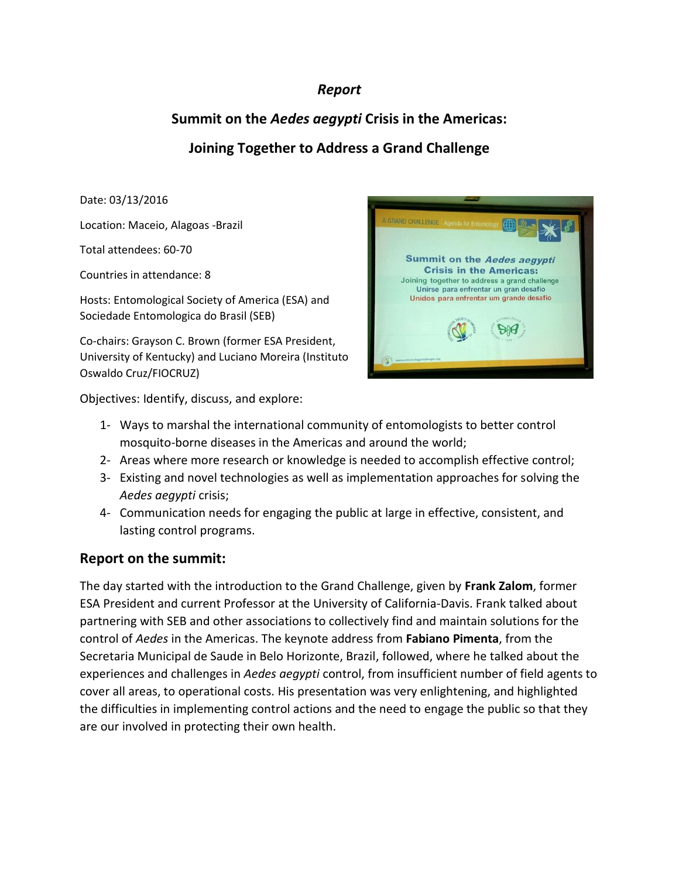### *Report*

# **Summit on the** *Aedes aegypti* **Crisis in the Americas:**

## **Joining Together to Address a Grand Challenge**

Date: 03/13/2016

Location: Maceio, Alagoas -Brazil

Total attendees: 60-70

Countries in attendance: 8

Hosts: Entomological Society of America (ESA) and Sociedade Entomologica do Brasil (SEB)

Co-chairs: Grayson C. Brown (former ESA President, University of Kentucky) and Luciano Moreira (Instituto Oswaldo Cruz/FIOCRUZ)

Objectives: Identify, discuss, and explore:



- 1- Ways to marshal the international community of entomologists to better control mosquito-borne diseases in the Americas and around the world;
- 2- Areas where more research or knowledge is needed to accomplish effective control;
- 3- Existing and novel technologies as well as implementation approaches for solving the *Aedes aegypti* crisis;
- 4- Communication needs for engaging the public at large in effective, consistent, and lasting control programs.

### **Report on the summit:**

The day started with the introduction to the Grand Challenge, given by **Frank Zalom**, former ESA President and current Professor at the University of California-Davis. Frank talked about partnering with SEB and other associations to collectively find and maintain solutions for the control of *Aedes* in the Americas. The keynote address from **Fabiano Pimenta**, from the Secretaria Municipal de Saude in Belo Horizonte, Brazil, followed, where he talked about the experiences and challenges in *Aedes aegypti* control, from insufficient number of field agents to cover all areas, to operational costs. His presentation was very enlightening, and highlighted the difficulties in implementing control actions and the need to engage the public so that they are our involved in protecting their own health.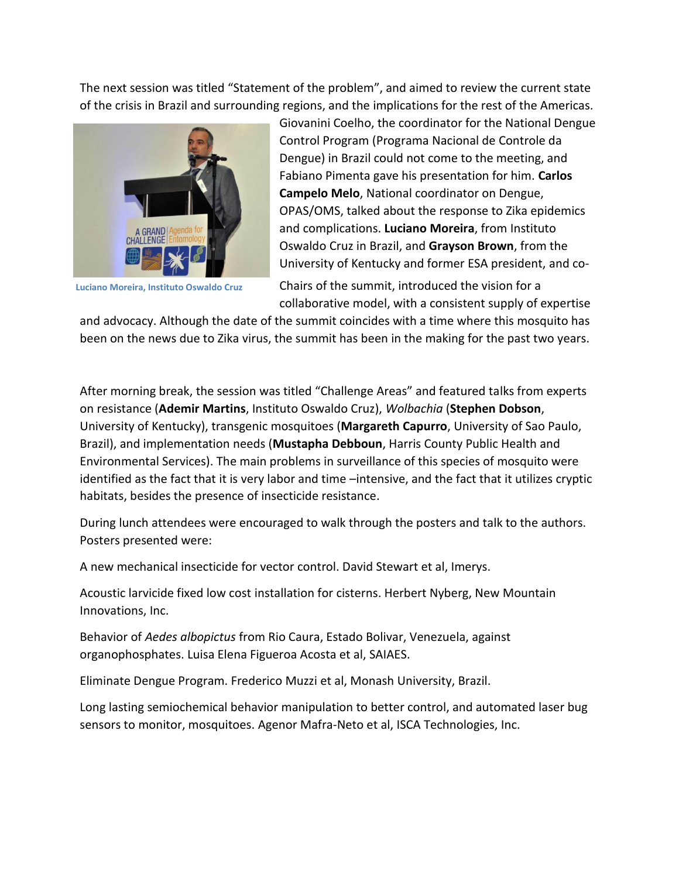The next session was titled "Statement of the problem", and aimed to review the current state of the crisis in Brazil and surrounding regions, and the implications for the rest of the Americas.



**Luciano Moreira, Instituto Oswaldo Cruz**

Giovanini Coelho, the coordinator for the National Dengue Control Program (Programa Nacional de Controle da Dengue) in Brazil could not come to the meeting, and Fabiano Pimenta gave his presentation for him. **Carlos Campelo Melo**, National coordinator on Dengue, OPAS/OMS, talked about the response to Zika epidemics and complications. **Luciano Moreira**, from Instituto Oswaldo Cruz in Brazil, and **Grayson Brown**, from the University of Kentucky and former ESA president, and co-

Chairs of the summit, introduced the vision for a collaborative model, with a consistent supply of expertise

and advocacy. Although the date of the summit coincides with a time where this mosquito has been on the news due to Zika virus, the summit has been in the making for the past two years.

After morning break, the session was titled "Challenge Areas" and featured talks from experts on resistance (**Ademir Martins**, Instituto Oswaldo Cruz), *Wolbachia* (**Stephen Dobson**, University of Kentucky), transgenic mosquitoes (**Margareth Capurro**, University of Sao Paulo, Brazil), and implementation needs (**Mustapha Debboun**, Harris County Public Health and Environmental Services). The main problems in surveillance of this species of mosquito were identified as the fact that it is very labor and time –intensive, and the fact that it utilizes cryptic habitats, besides the presence of insecticide resistance.

During lunch attendees were encouraged to walk through the posters and talk to the authors. Posters presented were:

A new mechanical insecticide for vector control. David Stewart et al, Imerys.

Acoustic larvicide fixed low cost installation for cisterns. Herbert Nyberg, New Mountain Innovations, Inc.

Behavior of *Aedes albopictus* from Rio Caura, Estado Bolivar, Venezuela, against organophosphates. Luisa Elena Figueroa Acosta et al, SAIAES.

Eliminate Dengue Program. Frederico Muzzi et al, Monash University, Brazil.

Long lasting semiochemical behavior manipulation to better control, and automated laser bug sensors to monitor, mosquitoes. Agenor Mafra-Neto et al, ISCA Technologies, Inc.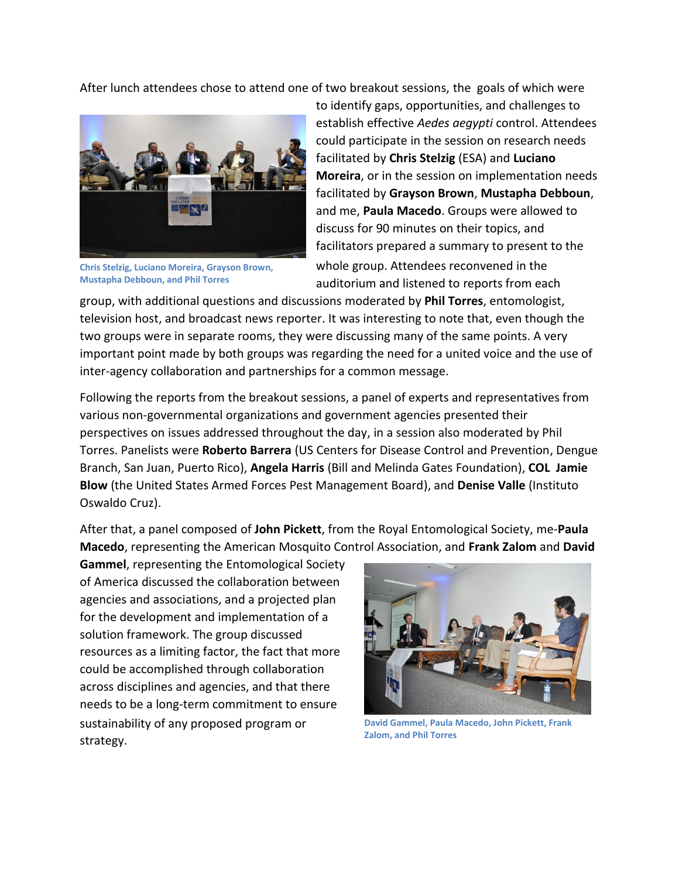After lunch attendees chose to attend one of two breakout sessions, the goals of which were



**Chris Stelzig, Luciano Moreira, Grayson Brown, Mustapha Debboun, and Phil Torres**

to identify gaps, opportunities, and challenges to establish effective *Aedes aegypti* control. Attendees could participate in the session on research needs facilitated by **Chris Stelzig** (ESA) and **Luciano Moreira**, or in the session on implementation needs facilitated by **Grayson Brown**, **Mustapha Debboun**, and me, **Paula Macedo**. Groups were allowed to discuss for 90 minutes on their topics, and facilitators prepared a summary to present to the whole group. Attendees reconvened in the auditorium and listened to reports from each

group, with additional questions and discussions moderated by **Phil Torres**, entomologist, television host, and broadcast news reporter. It was interesting to note that, even though the two groups were in separate rooms, they were discussing many of the same points. A very important point made by both groups was regarding the need for a united voice and the use of inter-agency collaboration and partnerships for a common message.

Following the reports from the breakout sessions, a panel of experts and representatives from various non-governmental organizations and government agencies presented their perspectives on issues addressed throughout the day, in a session also moderated by Phil Torres. Panelists were **Roberto Barrera** (US Centers for Disease Control and Prevention, Dengue Branch, San Juan, Puerto Rico), **Angela Harris** (Bill and Melinda Gates Foundation), **COL Jamie Blow** (the United States Armed Forces Pest Management Board), and **Denise Valle** (Instituto Oswaldo Cruz).

After that, a panel composed of **John Pickett**, from the Royal Entomological Society, me-**Paula Macedo**, representing the American Mosquito Control Association, and **Frank Zalom** and **David** 

**Gammel**, representing the Entomological Society of America discussed the collaboration between agencies and associations, and a projected plan for the development and implementation of a solution framework. The group discussed resources as a limiting factor, the fact that more could be accomplished through collaboration across disciplines and agencies, and that there needs to be a long-term commitment to ensure sustainability of any proposed program or strategy.



**David Gammel, Paula Macedo, John Pickett, Frank Zalom, and Phil Torres**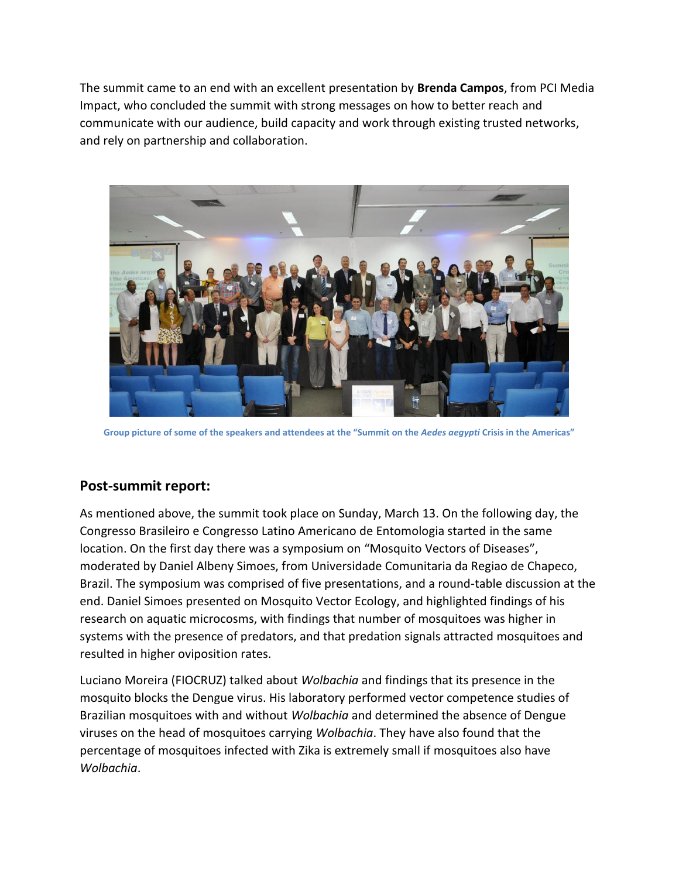The summit came to an end with an excellent presentation by **Brenda Campos**, from PCI Media Impact, who concluded the summit with strong messages on how to better reach and communicate with our audience, build capacity and work through existing trusted networks, and rely on partnership and collaboration.



**Group picture of some of the speakers and attendees at the "Summit on the** *Aedes aegypti* **Crisis in the Americas"**

### **Post-summit report:**

As mentioned above, the summit took place on Sunday, March 13. On the following day, the Congresso Brasileiro e Congresso Latino Americano de Entomologia started in the same location. On the first day there was a symposium on "Mosquito Vectors of Diseases", moderated by Daniel Albeny Simoes, from Universidade Comunitaria da Regiao de Chapeco, Brazil. The symposium was comprised of five presentations, and a round-table discussion at the end. Daniel Simoes presented on Mosquito Vector Ecology, and highlighted findings of his research on aquatic microcosms, with findings that number of mosquitoes was higher in systems with the presence of predators, and that predation signals attracted mosquitoes and resulted in higher oviposition rates.

Luciano Moreira (FIOCRUZ) talked about *Wolbachia* and findings that its presence in the mosquito blocks the Dengue virus. His laboratory performed vector competence studies of Brazilian mosquitoes with and without *Wolbachia* and determined the absence of Dengue viruses on the head of mosquitoes carrying *Wolbachia*. They have also found that the percentage of mosquitoes infected with Zika is extremely small if mosquitoes also have *Wolbachia*.